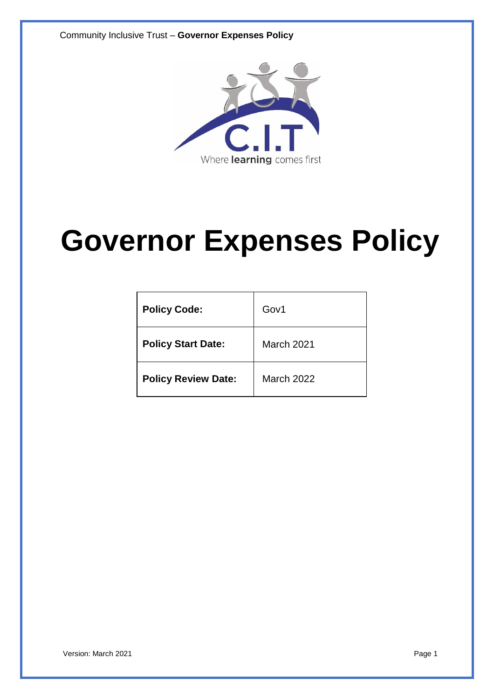Community Inclusive Trust – **Governor Expenses Policy**



# **Governor Expenses Policy**

| <b>Policy Code:</b>        | Gov1              |
|----------------------------|-------------------|
| <b>Policy Start Date:</b>  | March 2021        |
| <b>Policy Review Date:</b> | <b>March 2022</b> |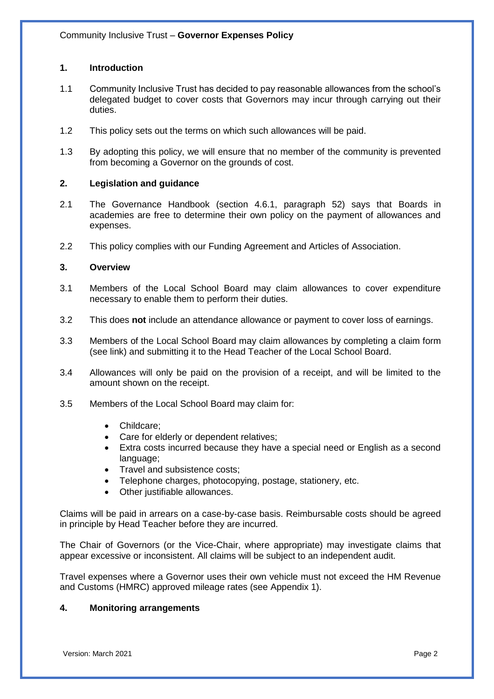# **1. Introduction**

- 1.1 Community Inclusive Trust has decided to pay reasonable allowances from the school's delegated budget to cover costs that Governors may incur through carrying out their duties.
- 1.2 This policy sets out the terms on which such allowances will be paid.
- 1.3 By adopting this policy, we will ensure that no member of the community is prevented from becoming a Governor on the grounds of cost.

## **2. Legislation and guidance**

- 2.1 The Governance Handbook (section 4.6.1, paragraph 52) says that Boards in academies are free to determine their own policy on the payment of allowances and expenses.
- 2.2 This policy complies with our Funding Agreement and Articles of Association.

## **3. Overview**

- 3.1 Members of the Local School Board may claim allowances to cover expenditure necessary to enable them to perform their duties.
- 3.2 This does **not** include an attendance allowance or payment to cover loss of earnings.
- 3.3 Members of the Local School Board may claim allowances by completing a claim form (see link) and submitting it to the Head Teacher of the Local School Board.
- 3.4 Allowances will only be paid on the provision of a receipt, and will be limited to the amount shown on the receipt.
- 3.5 Members of the Local School Board may claim for:
	- Childcare;
	- Care for elderly or dependent relatives;
	- Extra costs incurred because they have a special need or English as a second language;
	- Travel and subsistence costs;
	- Telephone charges, photocopying, postage, stationery, etc.
	- Other justifiable allowances.

Claims will be paid in arrears on a case-by-case basis. Reimbursable costs should be agreed in principle by Head Teacher before they are incurred.

The Chair of Governors (or the Vice-Chair, where appropriate) may investigate claims that appear excessive or inconsistent. All claims will be subject to an independent audit.

Travel expenses where a Governor uses their own vehicle must not exceed the HM Revenue and Customs (HMRC) approved mileage rates (see Appendix 1).

#### **4. Monitoring arrangements**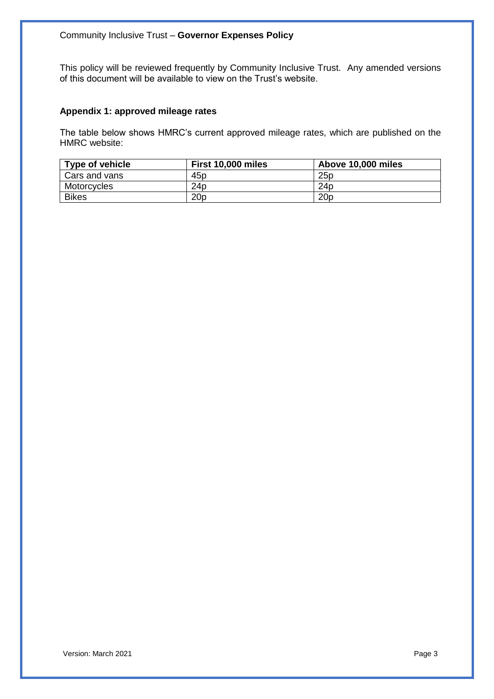This policy will be reviewed frequently by Community Inclusive Trust. Any amended versions of this document will be available to view on the Trust's website.

## **Appendix 1: approved mileage rates**

The table below shows HMRC's current approved mileage rates, which are published on the HMRC website:

| Type of vehicle | First 10,000 miles | Above 10,000 miles |
|-----------------|--------------------|--------------------|
| Cars and vans   | 45p                | 25p                |
| Motorcycles     | 24 <sub>p</sub>    | 24 <sub>D</sub>    |
| <b>Bikes</b>    | 20 <sub>p</sub>    | 20 <sub>p</sub>    |